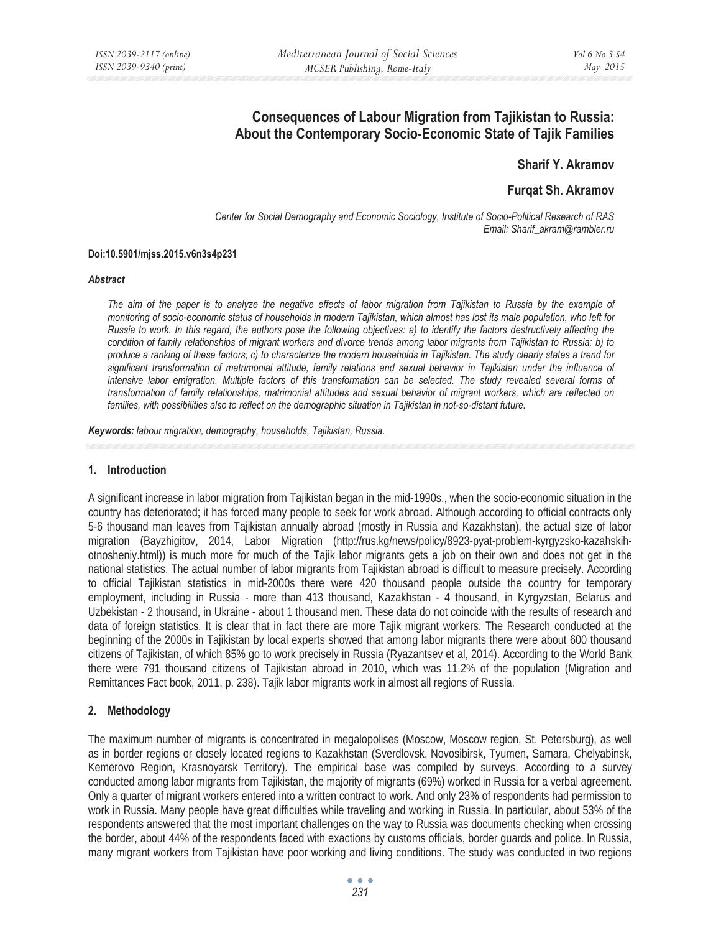# **Consequences of Labour Migration from Tajikistan to Russia: About the Contemporary Socio-Economic State of Tajik Families**

# **Sharif Y. Akramov**

# **Furqat Sh. Akramov**

*Center for Social Demography and Economic Sociology, Institute of Socio-Political Research of RAS Email: Sharif\_akram@rambler.ru* 

#### **Doi:10.5901/mjss.2015.v6n3s4p231**

#### *Abstract*

The aim of the paper is to analyze the negative effects of labor migration from Tajikistan to Russia by the example of *monitoring of socio-economic status of households in modern Tajikistan, which almost has lost its male population, who left for Russia to work. In this regard, the authors pose the following objectives: a) to identify the factors destructively affecting the condition of family relationships of migrant workers and divorce trends among labor migrants from Tajikistan to Russia; b) to produce a ranking of these factors; c) to characterize the modern households in Tajikistan. The study clearly states a trend for significant transformation of matrimonial attitude, family relations and sexual behavior in Tajikistan under the influence of*  intensive labor emigration. Multiple factors of this transformation can be selected. The study revealed several forms of *transformation of family relationships, matrimonial attitudes and sexual behavior of migrant workers, which are reflected on*  families, with possibilities also to reflect on the demographic situation in Tajikistan in not-so-distant future.

*Keywords: labour migration, demography, households, Tajikistan, Russia.*

## **1. Introduction**

A significant increase in labor migration from Tajikistan began in the mid-1990s., when the socio-economic situation in the country has deteriorated; it has forced many people to seek for work abroad. Although according to official contracts only 5-6 thousand man leaves from Tajikistan annually abroad (mostly in Russia and Kazakhstan), the actual size of labor migration (Bayzhigitov, 2014, Labor Migration (http://rus.kg/news/policy/8923-pyat-problem-kyrgyzsko-kazahskihotnosheniy.html)) is much more for much of the Tajik labor migrants gets a job on their own and does not get in the national statistics. The actual number of labor migrants from Tajikistan abroad is difficult to measure precisely. According to official Tajikistan statistics in mid-2000s there were 420 thousand people outside the country for temporary employment, including in Russia - more than 413 thousand, Kazakhstan - 4 thousand, in Kyrgyzstan, Belarus and Uzbekistan - 2 thousand, in Ukraine - about 1 thousand men. These data do not coincide with the results of research and data of foreign statistics. It is clear that in fact there are more Tajik migrant workers. The Research conducted at the beginning of the 2000s in Tajikistan by local experts showed that among labor migrants there were about 600 thousand citizens of Tajikistan, of which 85% go to work precisely in Russia (Ryazantsev et al, 2014). According to the World Bank there were 791 thousand citizens of Tajikistan abroad in 2010, which was 11.2% of the population (Migration and Remittances Fact book, 2011, p. 238). Tajik labor migrants work in almost all regions of Russia.

## **2. Methodology**

The maximum number of migrants is concentrated in megalopolises (Moscow, Moscow region, St. Petersburg), as well as in border regions or closely located regions to Kazakhstan (Sverdlovsk, Novosibirsk, Tyumen, Samara, Chelyabinsk, Kemerovo Region, Krasnoyarsk Territory). The empirical base was compiled by surveys. According to a survey conducted among labor migrants from Tajikistan, the majority of migrants (69%) worked in Russia for a verbal agreement. Only a quarter of migrant workers entered into a written contract to work. And only 23% of respondents had permission to work in Russia. Many people have great difficulties while traveling and working in Russia. In particular, about 53% of the respondents answered that the most important challenges on the way to Russia was documents checking when crossing the border, about 44% of the respondents faced with exactions by customs officials, border guards and police. In Russia, many migrant workers from Tajikistan have poor working and living conditions. The study was conducted in two regions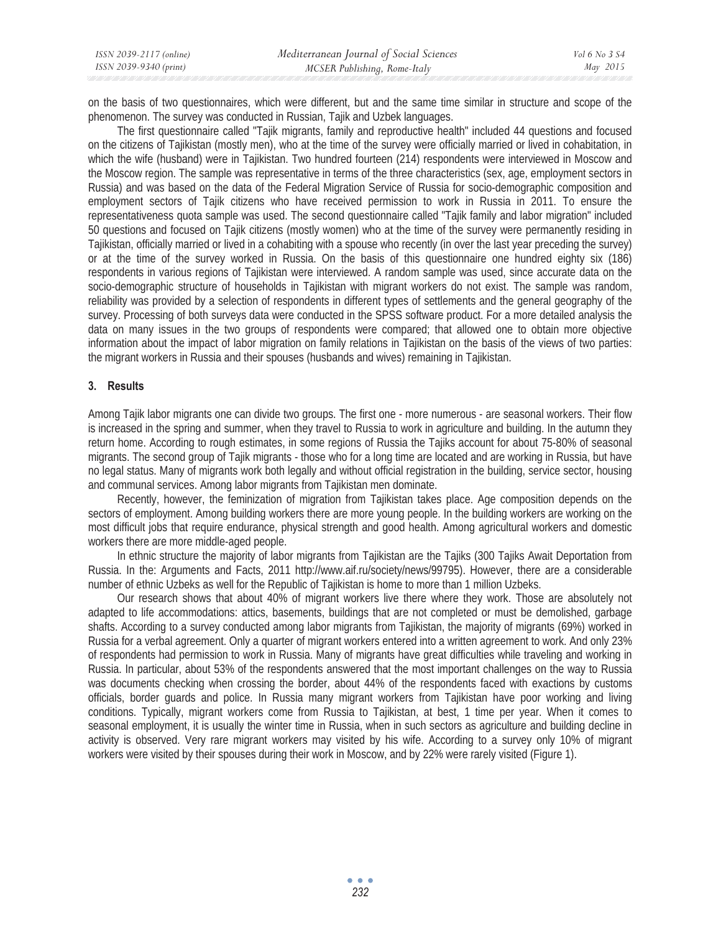| ISSN 2039-2117 (online) | Mediterranean Journal of Social Sciences | Vol 6 No 3 S4 |
|-------------------------|------------------------------------------|---------------|
| ISSN 2039-9340 (print)  | MCSER Publishing, Rome-Italy             | May 2015      |

on the basis of two questionnaires, which were different, but and the same time similar in structure and scope of the phenomenon. The survey was conducted in Russian, Tajik and Uzbek languages.

The first questionnaire called "Tajik migrants, family and reproductive health" included 44 questions and focused on the citizens of Tajikistan (mostly men), who at the time of the survey were officially married or lived in cohabitation, in which the wife (husband) were in Tajikistan. Two hundred fourteen (214) respondents were interviewed in Moscow and the Moscow region. The sample was representative in terms of the three characteristics (sex, age, employment sectors in Russia) and was based on the data of the Federal Migration Service of Russia for socio-demographic composition and employment sectors of Tajik citizens who have received permission to work in Russia in 2011. To ensure the representativeness quota sample was used. The second questionnaire called "Tajik family and labor migration" included 50 questions and focused on Tajik citizens (mostly women) who at the time of the survey were permanently residing in Tajikistan, officially married or lived in a cohabiting with a spouse who recently (in over the last year preceding the survey) or at the time of the survey worked in Russia. On the basis of this questionnaire one hundred eighty six (186) respondents in various regions of Tajikistan were interviewed. A random sample was used, since accurate data on the socio-demographic structure of households in Tajikistan with migrant workers do not exist. The sample was random, reliability was provided by a selection of respondents in different types of settlements and the general geography of the survey. Processing of both surveys data were conducted in the SPSS software product. For a more detailed analysis the data on many issues in the two groups of respondents were compared; that allowed one to obtain more objective information about the impact of labor migration on family relations in Tajikistan on the basis of the views of two parties: the migrant workers in Russia and their spouses (husbands and wives) remaining in Tajikistan.

#### **3. Results**

Among Tajik labor migrants one can divide two groups. The first one - more numerous - are seasonal workers. Their flow is increased in the spring and summer, when they travel to Russia to work in agriculture and building. In the autumn they return home. According to rough estimates, in some regions of Russia the Tajiks account for about 75-80% of seasonal migrants. The second group of Tajik migrants - those who for a long time are located and are working in Russia, but have no legal status. Many of migrants work both legally and without official registration in the building, service sector, housing and communal services. Among labor migrants from Tajikistan men dominate.

Recently, however, the feminization of migration from Tajikistan takes place. Age composition depends on the sectors of employment. Among building workers there are more young people. In the building workers are working on the most difficult jobs that require endurance, physical strength and good health. Among agricultural workers and domestic workers there are more middle-aged people.

In ethnic structure the majority of labor migrants from Tajikistan are the Tajiks (300 Tajiks Await Deportation from Russia. In the: Arguments and Facts, 2011 http://www.aif.ru/society/news/99795). However, there are a considerable number of ethnic Uzbeks as well for the Republic of Tajikistan is home to more than 1 million Uzbeks.

Our research shows that about 40% of migrant workers live there where they work. Those are absolutely not adapted to life accommodations: attics, basements, buildings that are not completed or must be demolished, garbage shafts. According to a survey conducted among labor migrants from Tajikistan, the majority of migrants (69%) worked in Russia for a verbal agreement. Only a quarter of migrant workers entered into a written agreement to work. And only 23% of respondents had permission to work in Russia. Many of migrants have great difficulties while traveling and working in Russia. In particular, about 53% of the respondents answered that the most important challenges on the way to Russia was documents checking when crossing the border, about 44% of the respondents faced with exactions by customs officials, border guards and police. In Russia many migrant workers from Tajikistan have poor working and living conditions. Typically, migrant workers come from Russia to Tajikistan, at best, 1 time per year. When it comes to seasonal employment, it is usually the winter time in Russia, when in such sectors as agriculture and building decline in activity is observed. Very rare migrant workers may visited by his wife. According to a survey only 10% of migrant workers were visited by their spouses during their work in Moscow, and by 22% were rarely visited (Figure 1).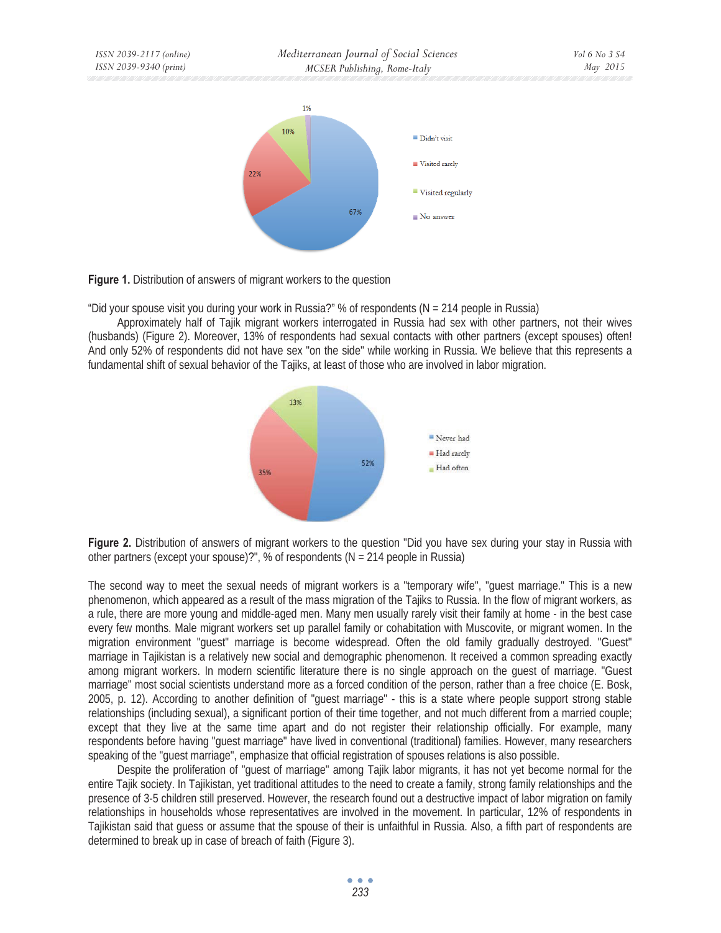



"Did your spouse visit you during your work in Russia?" % of respondents (N = 214 people in Russia)

Approximately half of Tajik migrant workers interrogated in Russia had sex with other partners, not their wives (husbands) (Figure 2). Moreover, 13% of respondents had sexual contacts with other partners (except spouses) often! And only 52% of respondents did not have sex "on the side" while working in Russia. We believe that this represents a fundamental shift of sexual behavior of the Tajiks, at least of those who are involved in labor migration.



**Figure 2.** Distribution of answers of migrant workers to the question "Did you have sex during your stay in Russia with other partners (except your spouse)?", % of respondents (N = 214 people in Russia)

The second way to meet the sexual needs of migrant workers is a "temporary wife", "guest marriage." This is a new phenomenon, which appeared as a result of the mass migration of the Tajiks to Russia. In the flow of migrant workers, as a rule, there are more young and middle-aged men. Many men usually rarely visit their family at home - in the best case every few months. Male migrant workers set up parallel family or cohabitation with Muscovite, or migrant women. In the migration environment "guest" marriage is become widespread. Often the old family gradually destroyed. "Guest" marriage in Tajikistan is a relatively new social and demographic phenomenon. It received a common spreading exactly among migrant workers. In modern scientific literature there is no single approach on the guest of marriage. "Guest marriage" most social scientists understand more as a forced condition of the person, rather than a free choice (E. Bosk, 2005, p. 12). According to another definition of "guest marriage" - this is a state where people support strong stable relationships (including sexual), a significant portion of their time together, and not much different from a married couple; except that they live at the same time apart and do not register their relationship officially. For example, many respondents before having "guest marriage" have lived in conventional (traditional) families. However, many researchers speaking of the "guest marriage", emphasize that official registration of spouses relations is also possible.

Despite the proliferation of "guest of marriage" among Tajik labor migrants, it has not yet become normal for the entire Tajik society. In Tajikistan, yet traditional attitudes to the need to create a family, strong family relationships and the presence of 3-5 children still preserved. However, the research found out a destructive impact of labor migration on family relationships in households whose representatives are involved in the movement. In particular, 12% of respondents in Tajikistan said that guess or assume that the spouse of their is unfaithful in Russia. Also, a fifth part of respondents are determined to break up in case of breach of faith (Figure 3).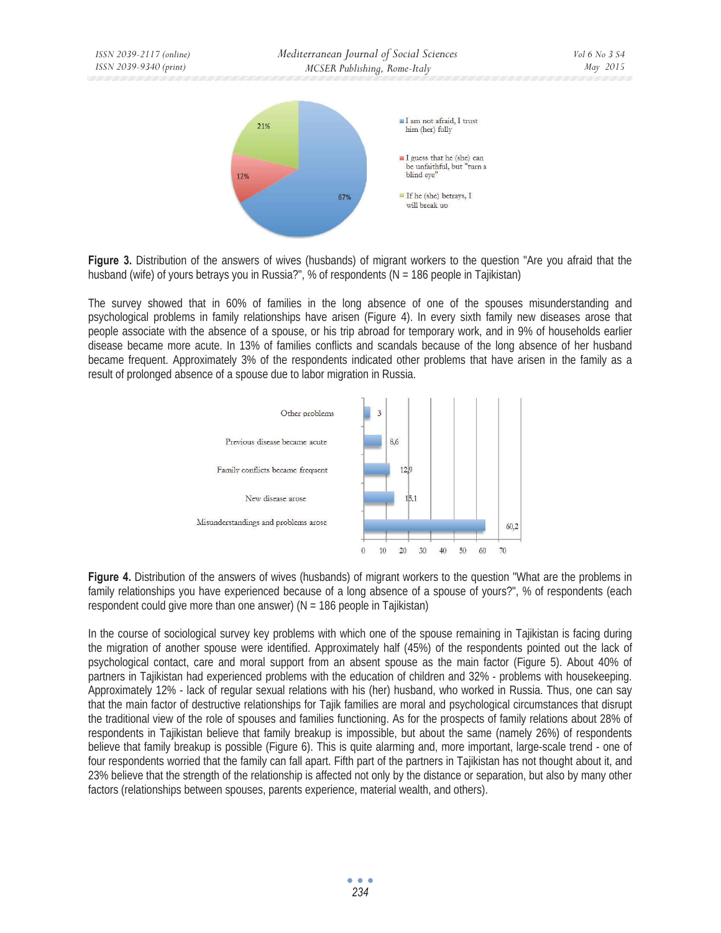

**Figure 3.** Distribution of the answers of wives (husbands) of migrant workers to the question "Are you afraid that the husband (wife) of yours betrays you in Russia?", % of respondents (N = 186 people in Tajikistan)

The survey showed that in 60% of families in the long absence of one of the spouses misunderstanding and psychological problems in family relationships have arisen (Figure 4). In every sixth family new diseases arose that people associate with the absence of a spouse, or his trip abroad for temporary work, and in 9% of households earlier disease became more acute. In 13% of families conflicts and scandals because of the long absence of her husband became frequent. Approximately 3% of the respondents indicated other problems that have arisen in the family as a result of prolonged absence of a spouse due to labor migration in Russia.



**Figure 4.** Distribution of the answers of wives (husbands) of migrant workers to the question "What are the problems in family relationships you have experienced because of a long absence of a spouse of yours?", % of respondents (each respondent could give more than one answer) ( $N = 186$  people in Tajikistan)

In the course of sociological survey key problems with which one of the spouse remaining in Tajikistan is facing during the migration of another spouse were identified. Approximately half (45%) of the respondents pointed out the lack of psychological contact, care and moral support from an absent spouse as the main factor (Figure 5). About 40% of partners in Tajikistan had experienced problems with the education of children and 32% - problems with housekeeping. Approximately 12% - lack of regular sexual relations with his (her) husband, who worked in Russia. Thus, one can say that the main factor of destructive relationships for Tajik families are moral and psychological circumstances that disrupt the traditional view of the role of spouses and families functioning. As for the prospects of family relations about 28% of respondents in Tajikistan believe that family breakup is impossible, but about the same (namely 26%) of respondents believe that family breakup is possible (Figure 6). This is quite alarming and, more important, large-scale trend - one of four respondents worried that the family can fall apart. Fifth part of the partners in Tajikistan has not thought about it, and 23% believe that the strength of the relationship is affected not only by the distance or separation, but also by many other factors (relationships between spouses, parents experience, material wealth, and others).

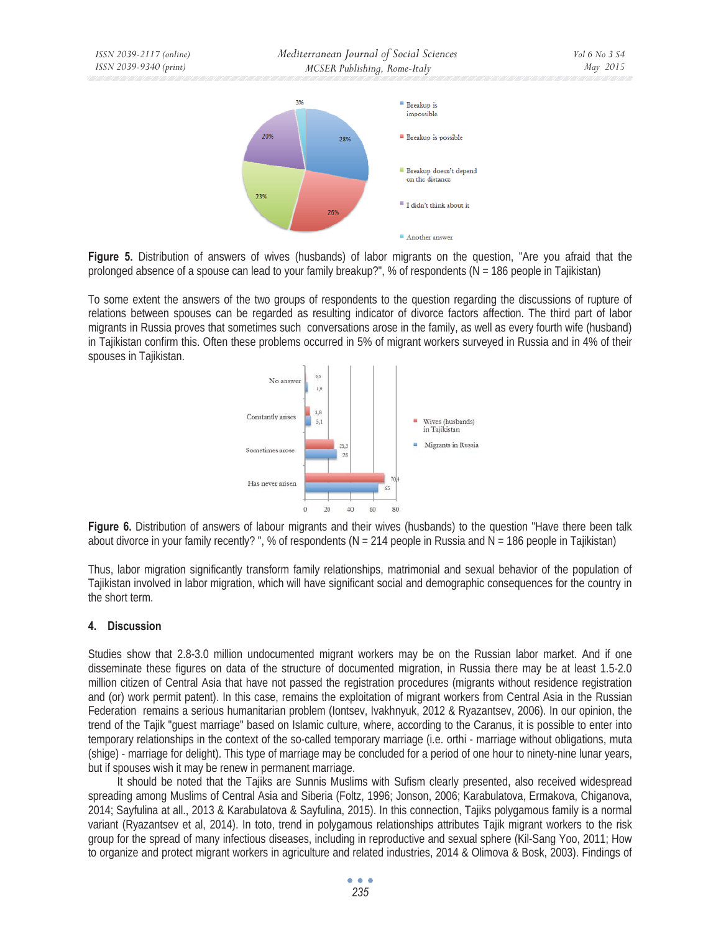$\blacksquare$  Breakup doesn't depend on the distance 23% I didn't think about it Another answer

**Figure 5.** Distribution of answers of wives (husbands) of labor migrants on the question, "Are you afraid that the prolonged absence of a spouse can lead to your family breakup?", % of respondents (N = 186 people in Tajikistan)

To some extent the answers of the two groups of respondents to the question regarding the discussions of rupture of relations between spouses can be regarded as resulting indicator of divorce factors affection. The third part of labor migrants in Russia proves that sometimes such conversations arose in the family, as well as every fourth wife (husband) in Tajikistan confirm this. Often these problems occurred in 5% of migrant workers surveyed in Russia and in 4% of their spouses in Tajikistan.



**Figure 6.** Distribution of answers of labour migrants and their wives (husbands) to the question "Have there been talk about divorce in your family recently? ", % of respondents ( $N = 214$  people in Russia and  $N = 186$  people in Tajikistan)

Thus, labor migration significantly transform family relationships, matrimonial and sexual behavior of the population of Tajikistan involved in labor migration, which will have significant social and demographic consequences for the country in the short term.

## **4. Discussion**

Studies show that 2.8-3.0 million undocumented migrant workers may be on the Russian labor market. And if one disseminate these figures on data of the structure of documented migration, in Russia there may be at least 1.5-2.0 million citizen of Central Asia that have not passed the registration procedures (migrants without residence registration and (or) work permit patent). In this case, remains the exploitation of migrant workers from Central Asia in the Russian Federation remains a serious humanitarian problem (Iontsev, Ivakhnyuk, 2012 & Ryazantsev, 2006). In our opinion, the trend of the Tajik "guest marriage" based on Islamic culture, where, according to the Caranus, it is possible to enter into temporary relationships in the context of the so-called temporary marriage (i.e. orthi - marriage without obligations, muta (shige) - marriage for delight). This type of marriage may be concluded for a period of one hour to ninety-nine lunar years, but if spouses wish it may be renew in permanent marriage.

It should be noted that the Tajiks are Sunnis Muslims with Sufism clearly presented, also received widespread spreading among Muslims of Central Asia and Siberia (Foltz, 1996; Jonson, 2006; Karabulatova, Ermakova, Chiganova, 2014; Sayfulina at all., 2013 & Karabulatova & Sayfulina, 2015). In this connection, Tajiks polygamous family is a normal variant (Ryazantsev et al, 2014). In toto, trend in polygamous relationships attributes Tajik migrant workers to the risk group for the spread of many infectious diseases, including in reproductive and sexual sphere (Kil-Sang Yoo, 2011; How to organize and protect migrant workers in agriculture and related industries, 2014 & Olimova & Bosk, 2003). Findings of